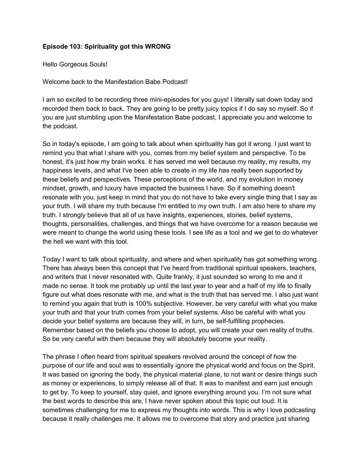## **Episode 103: Spirituality got this WRONG**

Hello Gorgeous Souls!

Welcome back to the Manifestation Babe Podcast!

I am so excited to be recording three mini-episodes for you guys! I literally sat down today and recorded them back to back. They are going to be pretty juicy topics if I do say so myself. So if you are just stumbling upon the Manifestation Babe podcast, I appreciate you and welcome to the podcast.

So in today's episode, I am going to talk about when spirituality has got it wrong. I just want to remind you that what I share with you, comes from my belief system and perspective. To be honest, it's just how my brain works. It has served me well because my reality, my results, my happiness levels, and what I've been able to create in my life has really been supported by these beliefs and perspectives. These perceptions of the world, and my evolution in money mindset, growth, and luxury have impacted the business I have. So if something doesn't resonate with you, just keep in mind that you do not have to take every single thing that I say as your truth. I will share my truth because I'm entitled to my own truth. I am also here to share my truth. I strongly believe that all of us have insights, experiences, stories, belief systems, thoughts, personalities, challenges, and things that we have overcome for a reason because we were meant to change the world using these tools. I see life as a tool and we get to do whatever the hell we want with this tool.

Today I want to talk about spirituality, and where and when spirituality has got something wrong. There has always been this concept that I've heard from traditional spiritual speakers, teachers, and writers that I never resonated with. Quite frankly, it just sounded so wrong to me and it made no sense. It took me probably up until the last year to year and a half of my life to finally figure out what does resonate with me, and what is the truth that has served me. I also just want to remind you again that truth is 100% subjective. However, be very careful with what you make your truth and that your truth comes from your belief systems. Also be careful with what you decide your belief systems are because they will, in turn, be self-fulfilling prophecies. Remember based on the beliefs you choose to adopt, you will create your own reality of truths. So be very careful with them because they will absolutely become your reality.

The phrase I often heard from spiritual speakers revolved around the concept of how the purpose of our life and soul was to essentially ignore the physical world and focus on the Spirit. It was based on ignoring the body, the physical material plane, to not want or desire things such as money or experiences, to simply release all of that. It was to manifest and earn just enough to get by. To keep to yourself, stay quiet, and ignore everything around you. I'm not sure what the best words to describe this are, I have never spoken about this topic out loud. It is sometimes challenging for me to express my thoughts into words. This is why I love podcasting because it really challenges me. It allows me to overcome that story and practice just sharing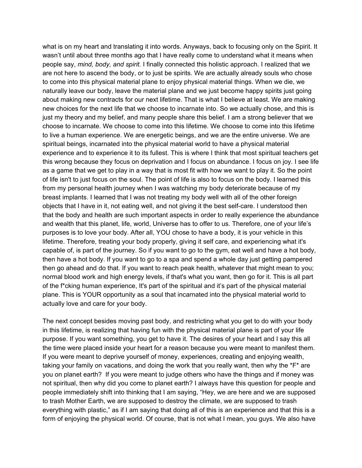what is on my heart and translating it into words. Anyways, back to focusing only on the Spirit. It wasn't until about three months ago that I have really come to understand what it means when people say, *mind, body, and spirit.* I finally connected this holistic approach. I realized that we are not here to ascend the body, or to just be spirits. We are actually already souls who chose to come into this physical material plane to enjoy physical material things. When we die, we naturally leave our body, leave the material plane and we just become happy spirits just going about making new contracts for our next lifetime. That is what I believe at least. We are making new choices for the next life that we choose to incarnate into. So we actually chose, and this is just my theory and my belief, and many people share this belief. I am a strong believer that we choose to incarnate. We choose to come into this lifetime. We choose to come into this lifetime to live a human experience. We are energetic beings, and we are the entire universe. We are spiritual beings, incarnated into the physical material world to have a physical material experience and to experience it to its fullest. This is where I think that most spiritual teachers get this wrong because they focus on deprivation and I focus on abundance. I focus on joy. I see life as a game that we get to play in a way that is most fit with how we want to play it. So the point of life isn't to just focus on the soul. The point of life is also to focus on the body. I learned this from my personal health journey when I was watching my body deteriorate because of my breast implants. I learned that I was not treating my body well with all of the other foreign objects that I have in it, not eating well, and not giving it the best self-care. I understood then that the body and health are such important aspects in order to really experience the abundance and wealth that this planet, life, world, Universe has to offer to us. Therefore, one of your life's purposes is to love your body. After all, YOU chose to have a body, it is your vehicle in this lifetime. Therefore, treating your body properly, giving it self care, and experiencing what it's capable of, is part of the journey. So if you want to go to the gym, eat well and have a hot body, then have a hot body. If you want to go to a spa and spend a whole day just getting pampered then go ahead and do that. If you want to reach peak health, whatever that might mean to you; normal blood work and high energy levels, if that's what you want, then go for it. This is all part of the f\*cking human experience, It's part of the spiritual and it's part of the physical material plane. This is YOUR opportunity as a soul that incarnated into the physical material world to actually love and care for your body.

The next concept besides moving past body, and restricting what you get to do with your body in this lifetime, is realizing that having fun with the physical material plane is part of your life purpose. If you want something, you get to have it. The desires of your heart and I say this all the time were placed inside your heart for a reason because you were meant to manifest them. If you were meant to deprive yourself of money, experiences, creating and enjoying wealth, taking your family on vacations, and doing the work that you really want, then why the  $*F*$  are you on planet earth? If you were meant to judge others who have the things and if money was not spiritual, then why did you come to planet earth? I always have this question for people and people immediately shift into thinking that I am saying, "Hey, we are here and we are supposed to trash Mother Earth, we are supposed to destroy the climate, we are supposed to trash everything with plastic," as if I am saying that doing all of this is an experience and that this is a form of enjoying the physical world. Of course, that is not what I mean, you guys. We also have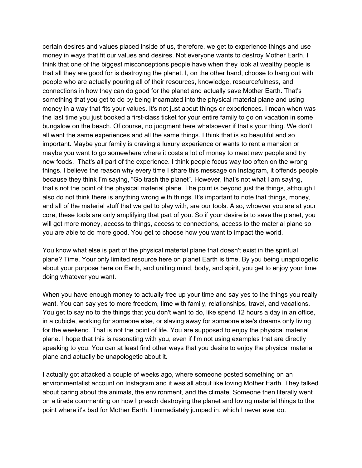certain desires and values placed inside of us, therefore, we get to experience things and use money in ways that fit our values and desires. Not everyone wants to destroy Mother Earth. I think that one of the biggest misconceptions people have when they look at wealthy people is that all they are good for is destroying the planet. I, on the other hand, choose to hang out with people who are actually pouring all of their resources, knowledge, resourcefulness, and connections in how they can do good for the planet and actually save Mother Earth. That's something that you get to do by being incarnated into the physical material plane and using money in a way that fits your values. It's not just about things or experiences. I mean when was the last time you just booked a first-class ticket for your entire family to go on vacation in some bungalow on the beach. Of course, no judgment here whatsoever if that's your thing. We don't all want the same experiences and all the same things. I think that is so beautiful and so important. Maybe your family is craving a luxury experience or wants to rent a mansion or maybe you want to go somewhere where it costs a lot of money to meet new people and try new foods. That's all part of the experience. I think people focus way too often on the wrong things. I believe the reason why every time I share this message on Instagram, it offends people because they think I'm saying, "Go trash the planet". However, that's not what I am saying, that's not the point of the physical material plane. The point is beyond just the things, although I also do not think there is anything wrong with things. It's important to note that things, money, and all of the material stuff that we get to play with, are our tools. Also, whoever you are at your core, these tools are only amplifying that part of you. So if your desire is to save the planet, you will get more money, access to things, access to connections, access to the material plane so you are able to do more good. You get to choose how you want to impact the world.

You know what else is part of the physical material plane that doesn't exist in the spiritual plane? Time. Your only limited resource here on planet Earth is time. By you being unapologetic about your purpose here on Earth, and uniting mind, body, and spirit, you get to enjoy your time doing whatever you want.

When you have enough money to actually free up your time and say yes to the things you really want. You can say yes to more freedom, time with family, relationships, travel, and vacations. You get to say no to the things that you don't want to do, like spend 12 hours a day in an office, in a cubicle, working for someone else, or slaving away for someone else's dreams only living for the weekend. That is not the point of life. You are supposed to enjoy the physical material plane. I hope that this is resonating with you, even if I'm not using examples that are directly speaking to you. You can at least find other ways that you desire to enjoy the physical material plane and actually be unapologetic about it.

I actually got attacked a couple of weeks ago, where someone posted something on an environmentalist account on Instagram and it was all about like loving Mother Earth. They talked about caring about the animals, the environment, and the climate. Someone then literally went on a tirade commenting on how I preach destroying the planet and loving material things to the point where it's bad for Mother Earth. I immediately jumped in, which I never ever do.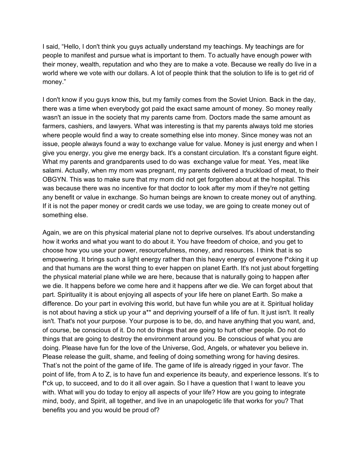I said, "Hello, I don't think you guys actually understand my teachings. My teachings are for people to manifest and pursue what is important to them. To actually have enough power with their money, wealth, reputation and who they are to make a vote. Because we really do live in a world where we vote with our dollars. A lot of people think that the solution to life is to get rid of money."

I don't know if you guys know this, but my family comes from the Soviet Union. Back in the day, there was a time when everybody got paid the exact same amount of money. So money really wasn't an issue in the society that my parents came from. Doctors made the same amount as farmers, cashiers, and lawyers. What was interesting is that my parents always told me stories where people would find a way to create something else into money. Since money was not an issue, people always found a way to exchange value for value. Money is just energy and when I give you energy, you give me energy back. It's a constant circulation. It's a constant figure eight. What my parents and grandparents used to do was exchange value for meat. Yes, meat like salami. Actually, when my mom was pregnant, my parents delivered a truckload of meat, to their OBGYN. This was to make sure that my mom did not get forgotten about at the hospital. This was because there was no incentive for that doctor to look after my mom if they're not getting any benefit or value in exchange. So human beings are known to create money out of anything. If it is not the paper money or credit cards we use today, we are going to create money out of something else.

Again, we are on this physical material plane not to deprive ourselves. It's about understanding how it works and what you want to do about it. You have freedom of choice, and you get to choose how you use your power, resourcefulness, money, and resources. I think that is so empowering. It brings such a light energy rather than this heavy energy of everyone f\*cking it up and that humans are the worst thing to ever happen on planet Earth. It's not just about forgetting the physical material plane while we are here, because that is naturally going to happen after we die. It happens before we come here and it happens after we die. We can forget about that part. Spirituality it is about enjoying all aspects of your life here on planet Earth. So make a difference. Do your part in evolving this world, but have fun while you are at it. Spiritual holiday is not about having a stick up your a\*\* and depriving yourself of a life of fun. It just isn't. It really isn't. That's not your purpose. Your purpose is to be, do, and have anything that you want, and, of course, be conscious of it. Do not do things that are going to hurt other people. Do not do things that are going to destroy the environment around you. Be conscious of what you are doing. Please have fun for the love of the Universe, God, Angels, or whatever you believe in. Please release the guilt, shame, and feeling of doing something wrong for having desires. That's not the point of the game of life. The game of life is already rigged in your favor. The point of life, from A to Z, is to have fun and experience its beauty, and experience lessons. It's to f\*ck up, to succeed, and to do it all over again. So I have a question that I want to leave you with. What will you do today to enjoy all aspects of your life? How are you going to integrate mind, body, and Spirit, all together, and live in an unapologetic life that works for you? That benefits you and you would be proud of?